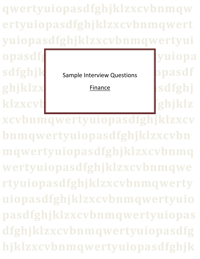**qwertyuiopasdfghjklzxcvbnmqw ertyuiopasdfghjklzxcvbnmqwert yuiopasdfghjklzxcvbnmqwertyui** opasdfg<sub>bla</sub>cks and the settlement of the settlement of the settlement of the settlement of the settlement of the settlement of the settlement of the settlement of the settlement of the settlement of the settlement of the **sdfghjk** Sample Interview Questions Dpasdf ghjklzx**werthwere and also the set of solution** klzxcvb**isch music benefisiert benefisiert benefisiert benefisiert benefisiert benefisiert benefisiert benefisi Finance** 

**xcvbnmqwertyuiopasdfghjklzxcv bnmqwertyuiopasdfghjklzxcvbn mqwertyuiopasdfghjklzxcvbnmq wertyuiopasdfghjklzxcvbnmqwe rtyuiopasdfghjklzxcvbnmqwerty uiopasdfghjklzxcvbnmqwertyuio pasdfghjklzxcvbnmqwertyuiopas dfghjklzxcvbnmqwertyuiopasdfg hjklzxcvbnmqwertyuiopasdfghjk**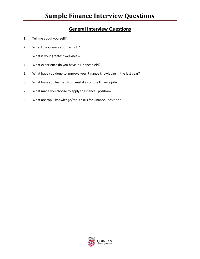# **General Interview Questions**

- 1. Tell me about yourself?
- 2. Why did you leave your last job?
- 3. What is your greatest weakness?
- 4. What experience do you have in Finance field?
- 5. What have you done to improve your Finance knowledge in the last year?
- 6. What have you learned from mistakes on the Finance job?
- 7. What made you choose to apply to Finance…position?
- 8. What are top 3 knowledge/top 3 skills for Finance…position?

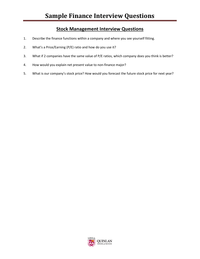# **Stock Management Interview Questions**

- 1. Describe the finance functions within a company and where you see yourself fitting.
- 2. What's a Price/Earning (P/E) ratio and how do you use it?
- 3. What if 2 companies have the same value of P/E ratios, which company does you think is better?
- 4. How would you explain net present value to non-finance major?
- 5. What is our company's stock price? How would you forecast the future stock price for next year?

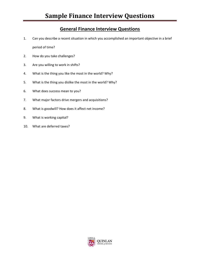#### **General Finance Interview Questions**

- 1. Can you describe a recent situation in which you accomplished an important objective in a brief period of time?
- 2. How do you take challenges?
- 3. Are you willing to work in shifts?
- 4. What is the thing you like the most in the world? Why?
- 5. What is the thing you dislike the most in the world? Why?
- 6. What does success mean to you?
- 7. What major factors drive mergers and acquisitions?
- 8. What is goodwill? How does it affect net income?
- 9. What is working capital?
- 10. What are deferred taxes?

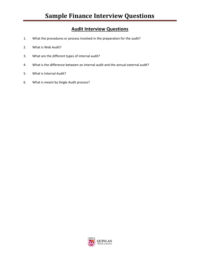# **Audit Interview Questions**

- 1. What the procedures or process involved in the preparation for the audit?
- 2. What is Web Audit?
- 3. What are the different types of internal audit?
- 4. What is the difference between an internal audit and the annual external audit?
- 5. What is Internal Audit?
- 6. What is meant by Single Audit process?

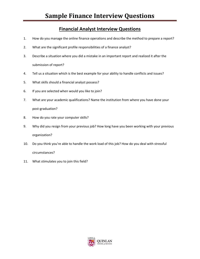## **Financial Analyst Interview Questions**

- 1. How do you manage the online finance operations and describe the method to prepare a report?
- 2. What are the significant profile responsibilities of a finance analyst?
- 3. Describe a situation where you did a mistake in an important report and realized it after the submission of report?
- 4. Tell us a situation which is the best example for your ability to handle conflicts and issues?
- 5. What skills should a financial analyst possess?
- 6. If you are selected when would you like to join?
- 7. What are your academic qualifications? Name the institution from where you have done your post-graduation?
- 8. How do you rate your computer skills?
- 9. Why did you resign from your previous job? How long have you been working with your previous organization?
- 10. Do you think you're able to handle the work load of this job? How do you deal with stressful circumstances?
- 11. What stimulates you to join this field?

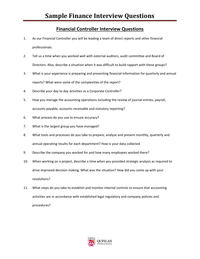#### **Financial Controller Interview Questions**

- 1. As our Financial Controller you will be leading a team of direct reports and other financial professionals.
- 2. Tell us a time when you worked well with external auditors, audit committee and Board of Directors. Also, describe a situation when it was difficult to build rapport with these groups?
- 3. What is your experience is preparing and presenting financial information for quarterly and annual reports? What were some of the complexities of the report?
- 4. Describe your day to day activities as a Corporate Controller?
- 5. How you manage the accounting operations including the review of journal entries, payroll, accounts payable, accounts receivable and statutory reporting?
- 6. What process do you use to ensure accuracy?
- 7. What is the largest group you have managed?
- 8. What tools and processes do you take to prepare, analyze and present monthly, quarterly and annual operating results for each department? How is your data collected
- 9. Describe the company you worked for and how many employees worked there?
- 10. When working on a project, describe a time when you provided strategic analysis as required to drive improved decision making. What was the situation? How did you come up with your resolutions?
- 11. What steps do you take to establish and monitor internal controls to ensure that accounting activities are in accordance with established legal regulatory and company policies and procedures?

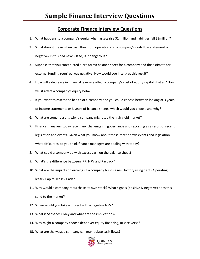#### **Corporate Finance Interview Questions**

- 1. What happens to a company's equity when assets rise \$1 million and liabilities fall \$2million?
- 2. What does it mean when cash flow from operations on a company's cash flow statement is negative? Is this bad news? If so, is it dangerous?
- 3. Suppose that you constructed a pro forma balance sheet for a company and the estimate for external funding required was negative. How would you interpret this result?
- 4. How will a decrease in financial leverage affect a company's cost of equity capital, if at all? How will it affect a company's equity beta?
- 5. If you want to assess the health of a company and you could choose between looking at 3 years of income statements or 3 years of balance sheets, which would you choose and why?
- 6. What are some reasons why a company might tap the high yield market?
- 7. Finance managers today face many challenges in governance and reporting as a result of recent legislation and events. Given what you know about these recent news events and legislation, what difficulties do you think finance managers are dealing with today?
- 8. What could a company do with excess cash on the balance sheet?
- 9. What's the difference between IRR, NPV and Payback?
- 10. What are the impacts on earnings if a company builds a new factory using debt? Operating lease? Capital lease? Cash?
- 11. Why would a company repurchase its own stock? What signals (positive & negative) does this send to the market?
- 12. When would you take a project with a negative NPV?
- 13. What is Sarbanes Oxley and what are the implications?
- 14. Why might a company choose debt over equity financing, or vice versa?
- 15. What are the ways a company can manipulate cash flows?

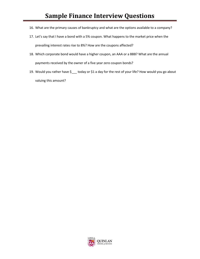- 16. What are the primary causes of bankruptcy and what are the options available to a company?
- 17. Let's say that I have a bond with a 5% coupon. What happens to the market price when the prevailing interest rates rise to 8%? How are the coupons affected?
- 18. Which corporate bond would have a higher coupon, an AAA or a BBB? What are the annual payments received by the owner of a five year zero coupon bonds?
- 19. Would you rather have \$\_\_\_ today or \$1 a day for the rest of your life? How would you go about valuing this amount?

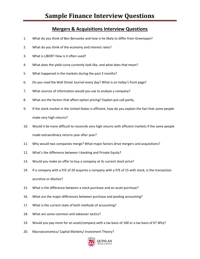#### **Mergers & Acquisitions Interview Questions**

- 1. What do you think of Ben Bernanke and how is he likely to differ from Greenspan?
- 2. What do you think of the economy and interest rates?
- 3. What is LIBOR? How is it often used?
- 4. What does the yield curve currently look like, and what does that mean?
- 5. What happened in the markets during the past 3 months?
- 6. Do you read the Wall Street Journal every day? What is on today's front page?
- 7. What sources of information would you use to analyze a company?
- 8. What are the factors that affect option pricing? Explain put-call parity.
- 9. If the stock market in the United States is efficient, how do you explain the fact that some people make very high returns?
- 10. Would it be more difficult to reconcile very high returns with efficient markets if the same people made extraordinary returns year after year?
- 11. Why would two companies merge? What major factors drive mergers and acquisitions?
- 12. What's the difference between I-banking and Private Equity?
- 13. Would you make an offer to buy a company at its current stock price?
- 14. If a company with a P/E of 20 acquires a company with a P/E of 15 with stock, is the transaction accretive or dilutive?
- 15. What is the difference between a stock purchase and an asset purchase?
- 16. What are the major differences between purchase and pooling accounting?
- 17. What is the current state of both methods of accounting?
- 18. What are some common anti-takeover tactics?
- 19. Would you pay more for an asset/company with a tax basis of 100 or a tax basis of 0? Why?
- 20. Macroeconomics/ Capital Markets/ Investment Theory?

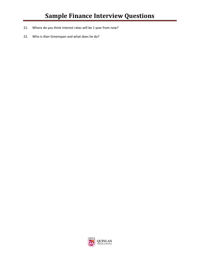- 21. Where do you think interest rates will be 1 year from now?
- 22. Who is Alan Greenspan and what does he do?